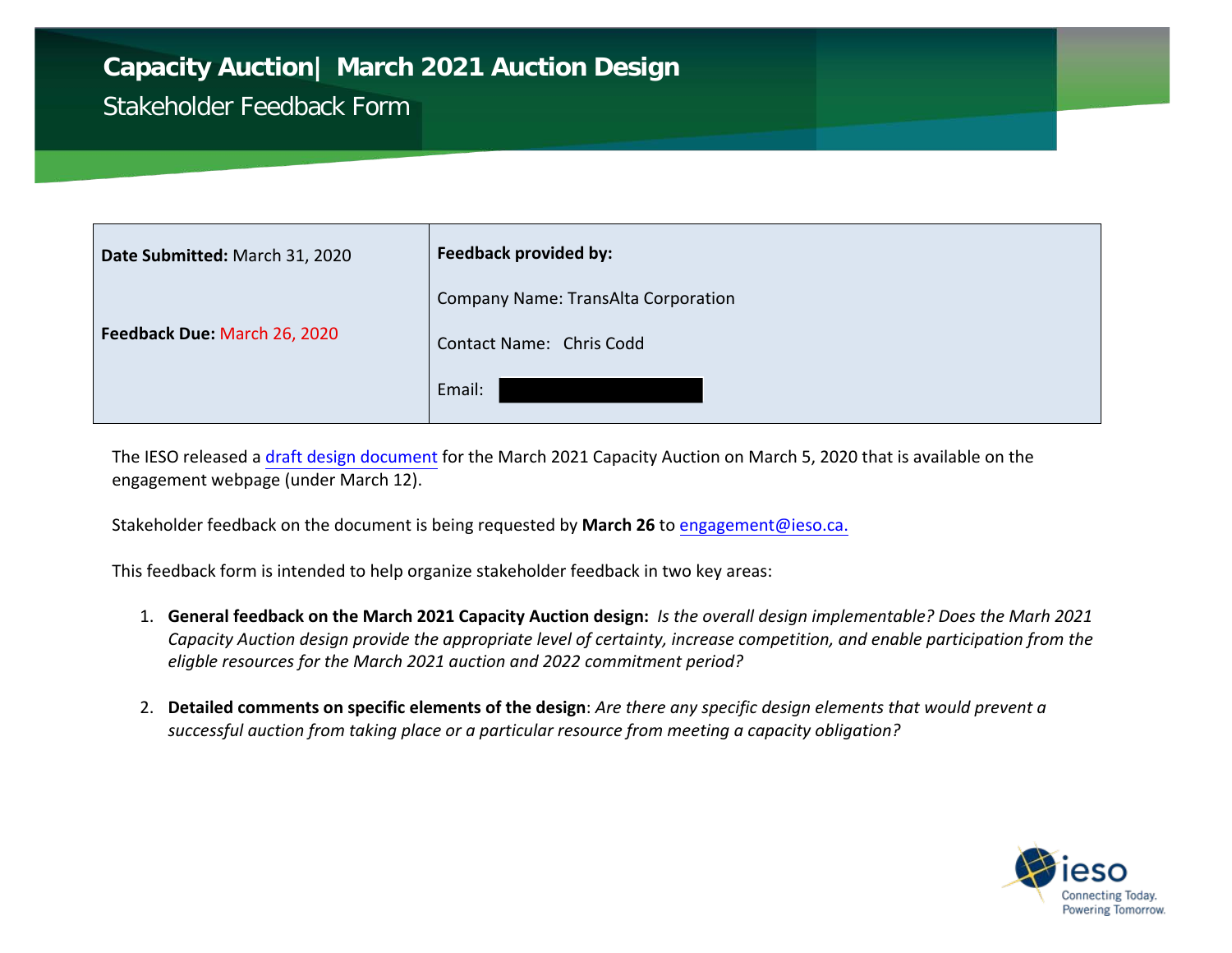## **Capacity Auction| March 2021 Auction Design**

## Stakeholder Feedback Form

| Date Submitted: March 31, 2020 | <b>Feedback provided by:</b>        |
|--------------------------------|-------------------------------------|
|                                | Company Name: TransAlta Corporation |
| Feedback Due: March 26, 2020   | Contact Name: Chris Codd            |
|                                | Email:                              |

The IESO released a draft [design document](http://www.ieso.ca/en/Sector-Participants/Engagement-Initiatives/Engagements/Capacity-Auction) for the March 2021 Capacity Auction on March 5, 2020 that is available on the engagement webpage (under March 12).

Stakeholder feedback on the document is being requested by **March 26** t[o engagement@ieso.ca.](mailto:engagement@ieso.ca)

This feedback form is intended to help organize stakeholder feedback in two key areas:

- 1. **General feedback on the March 2021 Capacity Auction design:** *Is the overall design implementable? Does the Marh 2021 Capacity Auction design provide the appropriate level of certainty, increase competition, and enable participation from the eligble resources for the March 2021 auction and 2022 commitment period?*
- 2. **Detailed comments on specific elements of the design**: *Are there any specific design elements that would prevent a successful auction from taking place or a particular resource from meeting a capacity obligation?*

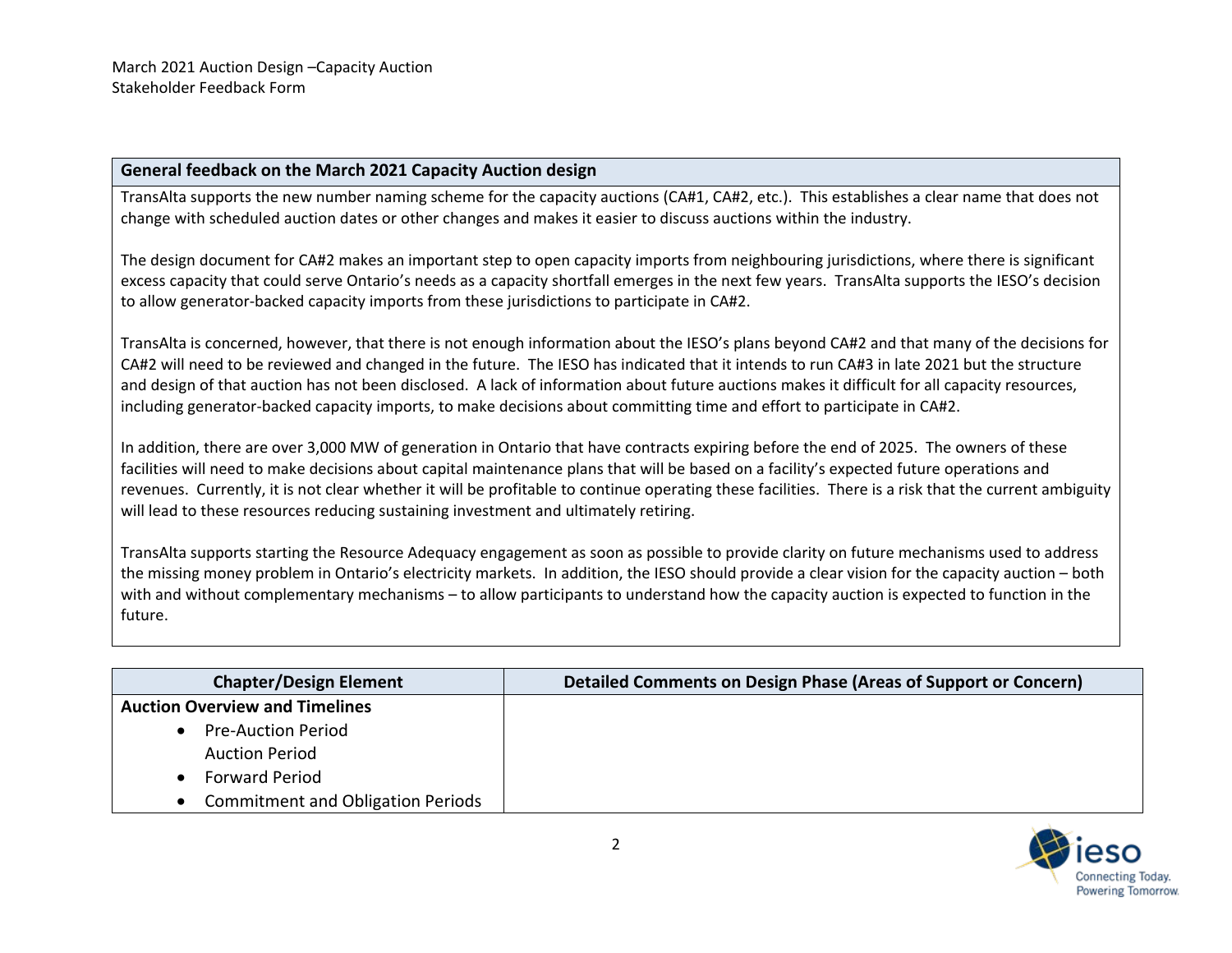## **General feedback on the March 2021 Capacity Auction design**

TransAlta supports the new number naming scheme for the capacity auctions (CA#1, CA#2, etc.). This establishes a clear name that does not change with scheduled auction dates or other changes and makes it easier to discuss auctions within the industry.

The design document for CA#2 makes an important step to open capacity imports from neighbouring jurisdictions, where there is significant excess capacity that could serve Ontario's needs as a capacity shortfall emerges in the next few years. TransAlta supports the IESO's decision to allow generator-backed capacity imports from these jurisdictions to participate in CA#2.

TransAlta is concerned, however, that there is not enough information about the IESO's plans beyond CA#2 and that many of the decisions for CA#2 will need to be reviewed and changed in the future. The IESO has indicated that it intends to run CA#3 in late 2021 but the structure and design of that auction has not been disclosed. A lack of information about future auctions makes it difficult for all capacity resources, including generator-backed capacity imports, to make decisions about committing time and effort to participate in CA#2.

In addition, there are over 3,000 MW of generation in Ontario that have contracts expiring before the end of 2025. The owners of these facilities will need to make decisions about capital maintenance plans that will be based on a facility's expected future operations and revenues. Currently, it is not clear whether it will be profitable to continue operating these facilities. There is a risk that the current ambiguity will lead to these resources reducing sustaining investment and ultimately retiring.

TransAlta supports starting the Resource Adequacy engagement as soon as possible to provide clarity on future mechanisms used to address the missing money problem in Ontario's electricity markets. In addition, the IESO should provide a clear vision for the capacity auction – both with and without complementary mechanisms – to allow participants to understand how the capacity auction is expected to function in the future.

| <b>Chapter/Design Element</b>            | Detailed Comments on Design Phase (Areas of Support or Concern) |
|------------------------------------------|-----------------------------------------------------------------|
| <b>Auction Overview and Timelines</b>    |                                                                 |
| <b>Pre-Auction Period</b>                |                                                                 |
| <b>Auction Period</b>                    |                                                                 |
| <b>Forward Period</b>                    |                                                                 |
| <b>Commitment and Obligation Periods</b> |                                                                 |

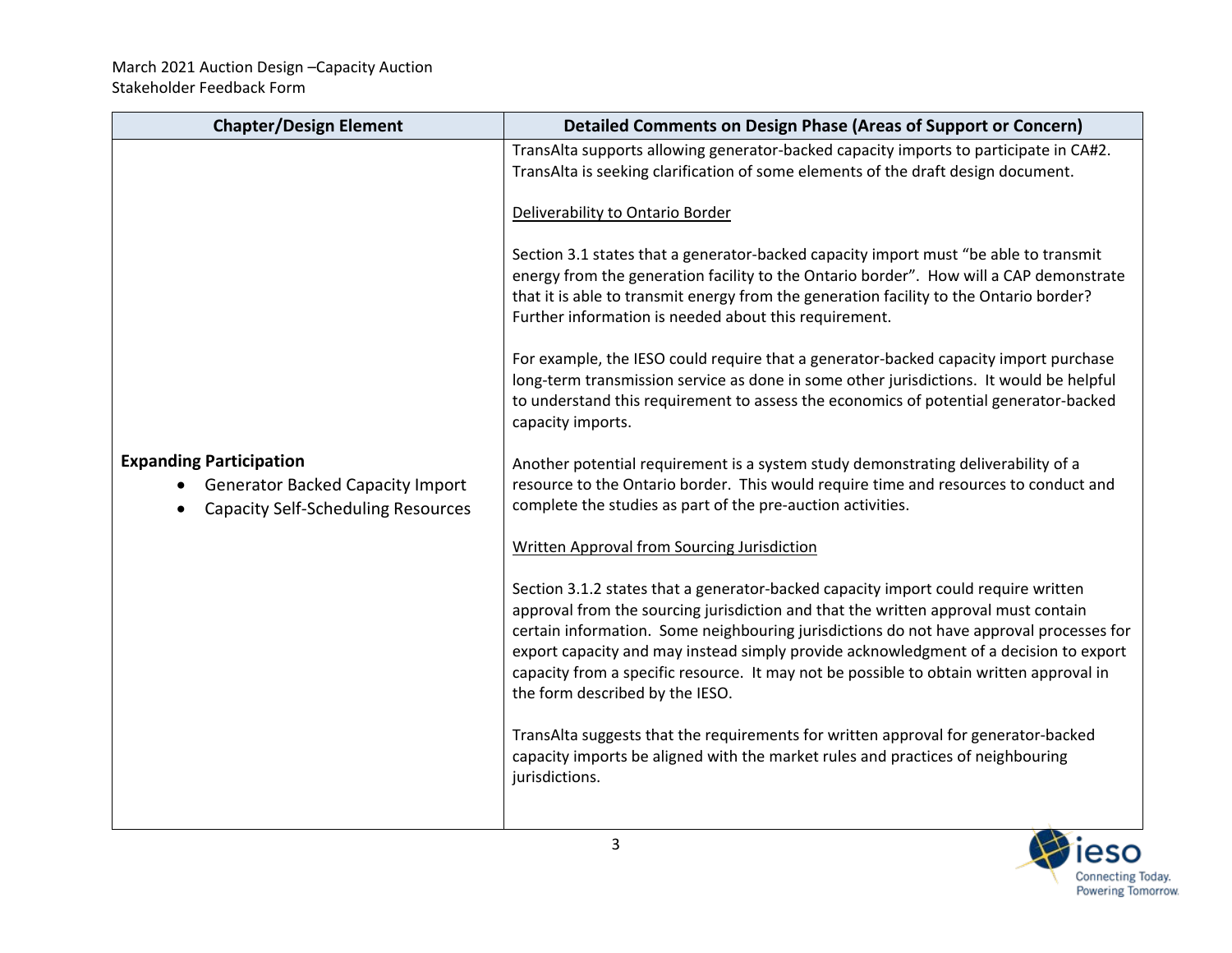| <b>Chapter/Design Element</b>                                                                                          | Detailed Comments on Design Phase (Areas of Support or Concern)                                                                                                                                                                                                                                                                                                                                                                                                                            |
|------------------------------------------------------------------------------------------------------------------------|--------------------------------------------------------------------------------------------------------------------------------------------------------------------------------------------------------------------------------------------------------------------------------------------------------------------------------------------------------------------------------------------------------------------------------------------------------------------------------------------|
|                                                                                                                        | TransAlta supports allowing generator-backed capacity imports to participate in CA#2.<br>TransAlta is seeking clarification of some elements of the draft design document.                                                                                                                                                                                                                                                                                                                 |
|                                                                                                                        | Deliverability to Ontario Border                                                                                                                                                                                                                                                                                                                                                                                                                                                           |
|                                                                                                                        | Section 3.1 states that a generator-backed capacity import must "be able to transmit<br>energy from the generation facility to the Ontario border". How will a CAP demonstrate<br>that it is able to transmit energy from the generation facility to the Ontario border?<br>Further information is needed about this requirement.                                                                                                                                                          |
|                                                                                                                        | For example, the IESO could require that a generator-backed capacity import purchase<br>long-term transmission service as done in some other jurisdictions. It would be helpful<br>to understand this requirement to assess the economics of potential generator-backed<br>capacity imports.                                                                                                                                                                                               |
| <b>Expanding Participation</b><br><b>Generator Backed Capacity Import</b><br><b>Capacity Self-Scheduling Resources</b> | Another potential requirement is a system study demonstrating deliverability of a<br>resource to the Ontario border. This would require time and resources to conduct and<br>complete the studies as part of the pre-auction activities.                                                                                                                                                                                                                                                   |
|                                                                                                                        | <b>Written Approval from Sourcing Jurisdiction</b>                                                                                                                                                                                                                                                                                                                                                                                                                                         |
|                                                                                                                        | Section 3.1.2 states that a generator-backed capacity import could require written<br>approval from the sourcing jurisdiction and that the written approval must contain<br>certain information. Some neighbouring jurisdictions do not have approval processes for<br>export capacity and may instead simply provide acknowledgment of a decision to export<br>capacity from a specific resource. It may not be possible to obtain written approval in<br>the form described by the IESO. |
|                                                                                                                        | TransAlta suggests that the requirements for written approval for generator-backed<br>capacity imports be aligned with the market rules and practices of neighbouring<br>jurisdictions.                                                                                                                                                                                                                                                                                                    |
|                                                                                                                        |                                                                                                                                                                                                                                                                                                                                                                                                                                                                                            |

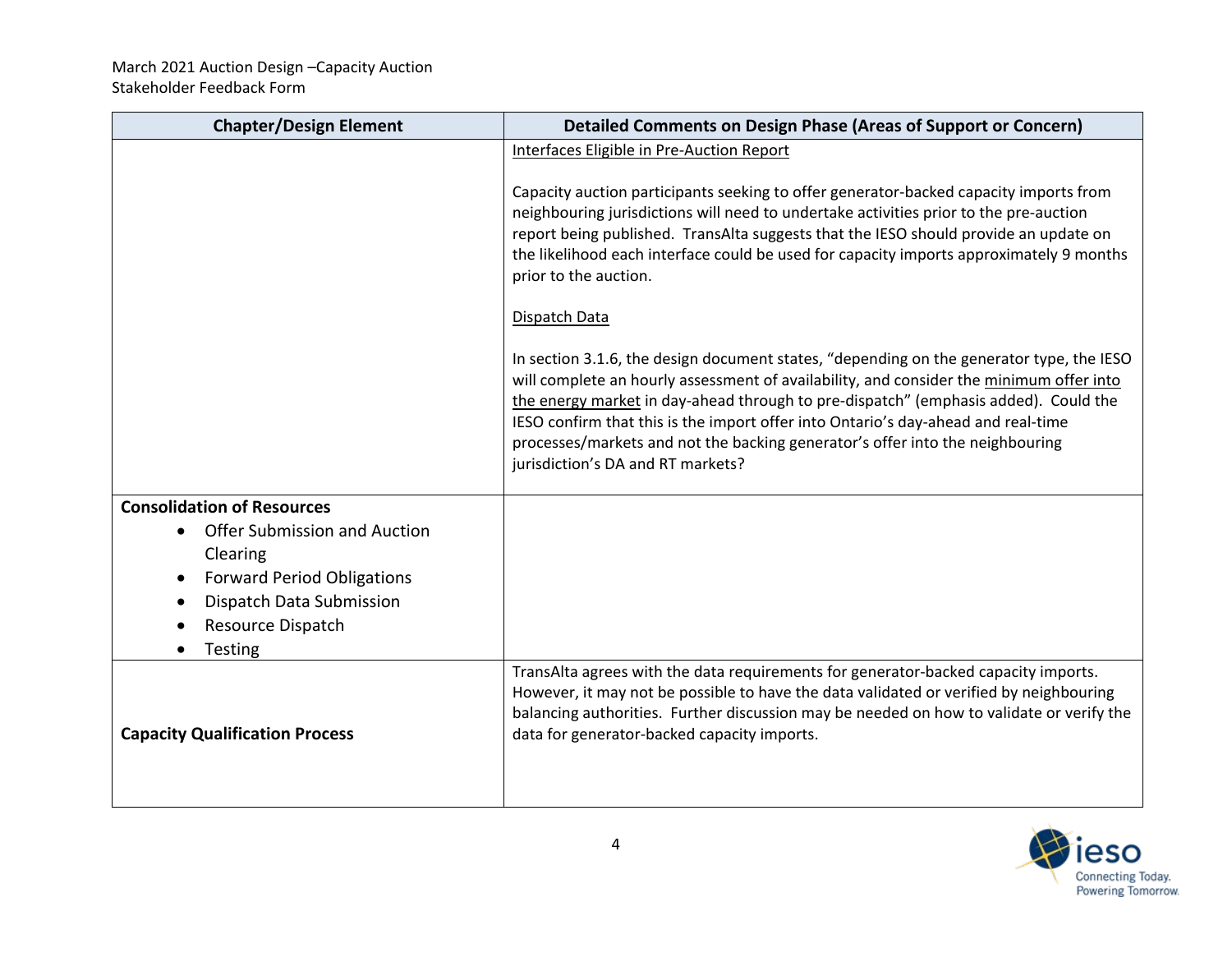| <b>Chapter/Design Element</b>                   | <b>Detailed Comments on Design Phase (Areas of Support or Concern)</b>                                                                                                                                                                                                                                                                                                                                                                                                                |
|-------------------------------------------------|---------------------------------------------------------------------------------------------------------------------------------------------------------------------------------------------------------------------------------------------------------------------------------------------------------------------------------------------------------------------------------------------------------------------------------------------------------------------------------------|
|                                                 | Interfaces Eligible in Pre-Auction Report                                                                                                                                                                                                                                                                                                                                                                                                                                             |
|                                                 | Capacity auction participants seeking to offer generator-backed capacity imports from<br>neighbouring jurisdictions will need to undertake activities prior to the pre-auction<br>report being published. TransAlta suggests that the IESO should provide an update on<br>the likelihood each interface could be used for capacity imports approximately 9 months<br>prior to the auction.                                                                                            |
|                                                 | Dispatch Data                                                                                                                                                                                                                                                                                                                                                                                                                                                                         |
|                                                 | In section 3.1.6, the design document states, "depending on the generator type, the IESO<br>will complete an hourly assessment of availability, and consider the minimum offer into<br>the energy market in day-ahead through to pre-dispatch" (emphasis added). Could the<br>IESO confirm that this is the import offer into Ontario's day-ahead and real-time<br>processes/markets and not the backing generator's offer into the neighbouring<br>jurisdiction's DA and RT markets? |
| <b>Consolidation of Resources</b>               |                                                                                                                                                                                                                                                                                                                                                                                                                                                                                       |
| <b>Offer Submission and Auction</b><br>Clearing |                                                                                                                                                                                                                                                                                                                                                                                                                                                                                       |
| <b>Forward Period Obligations</b>               |                                                                                                                                                                                                                                                                                                                                                                                                                                                                                       |
| Dispatch Data Submission                        |                                                                                                                                                                                                                                                                                                                                                                                                                                                                                       |
| Resource Dispatch                               |                                                                                                                                                                                                                                                                                                                                                                                                                                                                                       |
| Testing                                         |                                                                                                                                                                                                                                                                                                                                                                                                                                                                                       |
| <b>Capacity Qualification Process</b>           | TransAlta agrees with the data requirements for generator-backed capacity imports.<br>However, it may not be possible to have the data validated or verified by neighbouring<br>balancing authorities. Further discussion may be needed on how to validate or verify the<br>data for generator-backed capacity imports.                                                                                                                                                               |

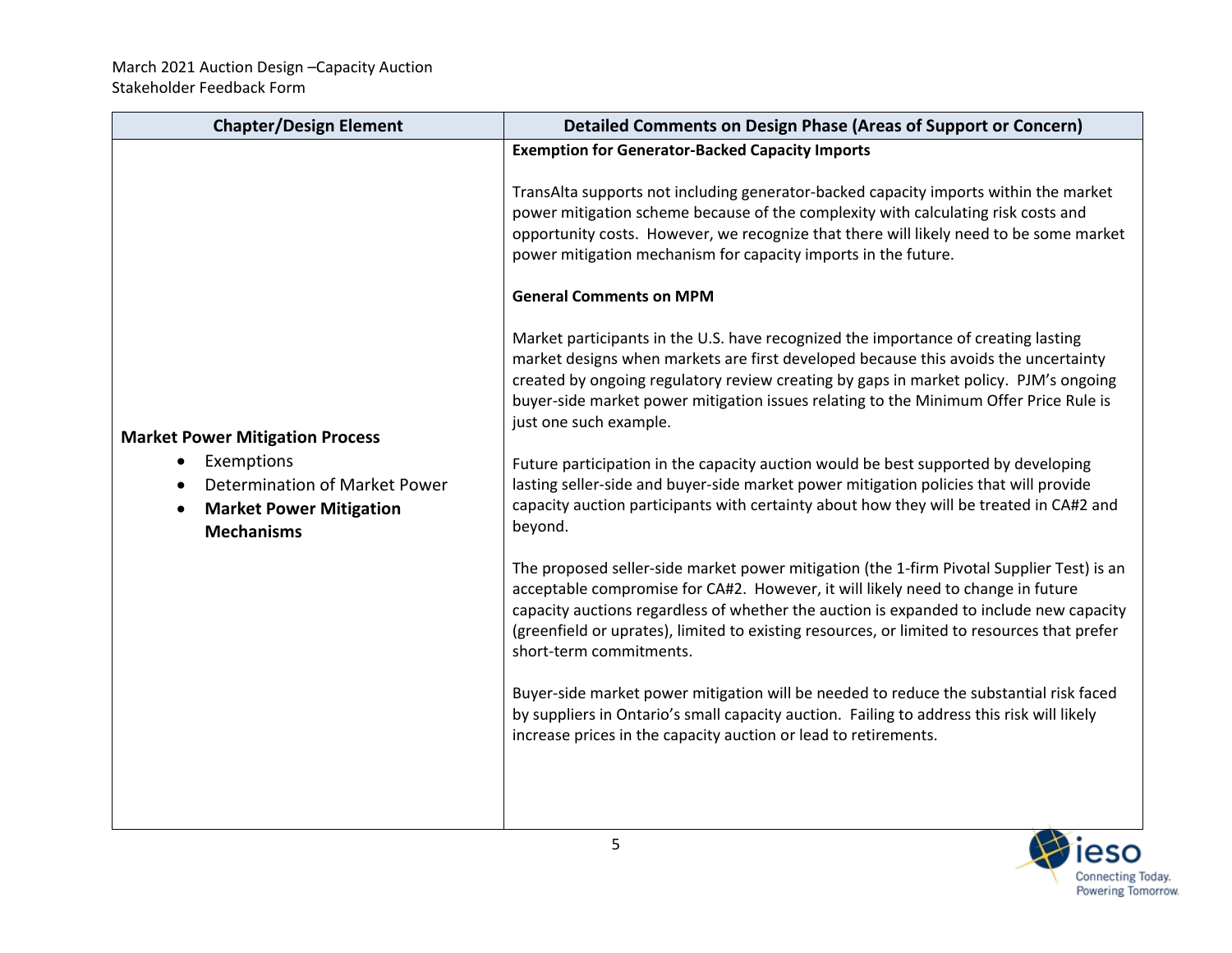| <b>Chapter/Design Element</b>                                                        | Detailed Comments on Design Phase (Areas of Support or Concern)                                                                                                                                                                                                                                                                                                                                    |
|--------------------------------------------------------------------------------------|----------------------------------------------------------------------------------------------------------------------------------------------------------------------------------------------------------------------------------------------------------------------------------------------------------------------------------------------------------------------------------------------------|
|                                                                                      | <b>Exemption for Generator-Backed Capacity Imports</b>                                                                                                                                                                                                                                                                                                                                             |
|                                                                                      | TransAlta supports not including generator-backed capacity imports within the market<br>power mitigation scheme because of the complexity with calculating risk costs and<br>opportunity costs. However, we recognize that there will likely need to be some market<br>power mitigation mechanism for capacity imports in the future.                                                              |
|                                                                                      | <b>General Comments on MPM</b>                                                                                                                                                                                                                                                                                                                                                                     |
| <b>Market Power Mitigation Process</b>                                               | Market participants in the U.S. have recognized the importance of creating lasting<br>market designs when markets are first developed because this avoids the uncertainty<br>created by ongoing regulatory review creating by gaps in market policy. PJM's ongoing<br>buyer-side market power mitigation issues relating to the Minimum Offer Price Rule is<br>just one such example.              |
| Exemptions                                                                           | Future participation in the capacity auction would be best supported by developing                                                                                                                                                                                                                                                                                                                 |
| Determination of Market Power<br><b>Market Power Mitigation</b><br><b>Mechanisms</b> | lasting seller-side and buyer-side market power mitigation policies that will provide<br>capacity auction participants with certainty about how they will be treated in CA#2 and<br>beyond.                                                                                                                                                                                                        |
|                                                                                      | The proposed seller-side market power mitigation (the 1-firm Pivotal Supplier Test) is an<br>acceptable compromise for CA#2. However, it will likely need to change in future<br>capacity auctions regardless of whether the auction is expanded to include new capacity<br>(greenfield or uprates), limited to existing resources, or limited to resources that prefer<br>short-term commitments. |
|                                                                                      | Buyer-side market power mitigation will be needed to reduce the substantial risk faced<br>by suppliers in Ontario's small capacity auction. Failing to address this risk will likely<br>increase prices in the capacity auction or lead to retirements.                                                                                                                                            |
|                                                                                      |                                                                                                                                                                                                                                                                                                                                                                                                    |

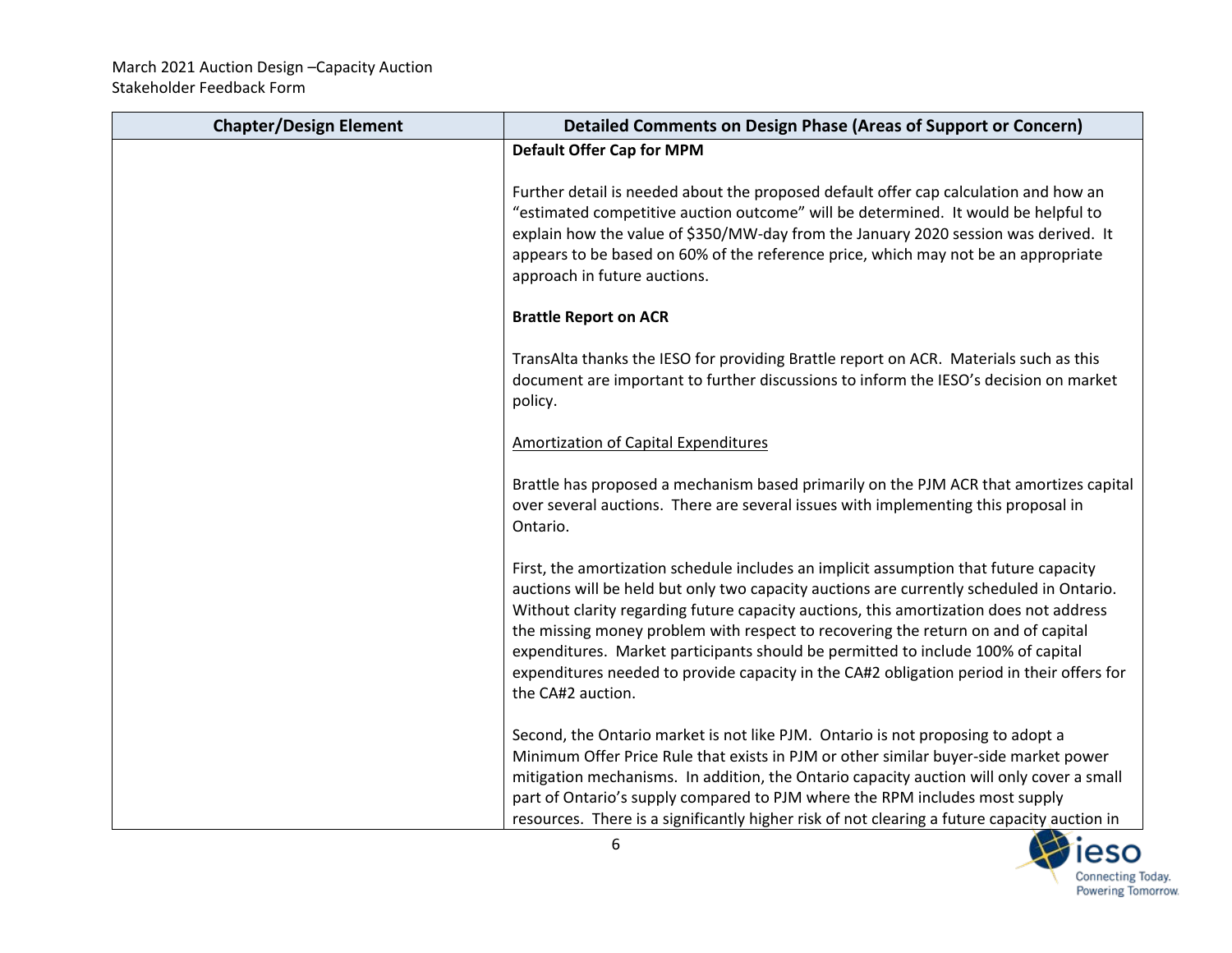| <b>Chapter/Design Element</b> | Detailed Comments on Design Phase (Areas of Support or Concern)                                                                                                                                                                                                                                                                                                                                                                                                                                                                                                        |
|-------------------------------|------------------------------------------------------------------------------------------------------------------------------------------------------------------------------------------------------------------------------------------------------------------------------------------------------------------------------------------------------------------------------------------------------------------------------------------------------------------------------------------------------------------------------------------------------------------------|
|                               | <b>Default Offer Cap for MPM</b>                                                                                                                                                                                                                                                                                                                                                                                                                                                                                                                                       |
|                               | Further detail is needed about the proposed default offer cap calculation and how an<br>"estimated competitive auction outcome" will be determined. It would be helpful to<br>explain how the value of \$350/MW-day from the January 2020 session was derived. It<br>appears to be based on 60% of the reference price, which may not be an appropriate<br>approach in future auctions.                                                                                                                                                                                |
|                               | <b>Brattle Report on ACR</b>                                                                                                                                                                                                                                                                                                                                                                                                                                                                                                                                           |
|                               | TransAlta thanks the IESO for providing Brattle report on ACR. Materials such as this<br>document are important to further discussions to inform the IESO's decision on market<br>policy.                                                                                                                                                                                                                                                                                                                                                                              |
|                               | <b>Amortization of Capital Expenditures</b>                                                                                                                                                                                                                                                                                                                                                                                                                                                                                                                            |
|                               | Brattle has proposed a mechanism based primarily on the PJM ACR that amortizes capital<br>over several auctions. There are several issues with implementing this proposal in<br>Ontario.                                                                                                                                                                                                                                                                                                                                                                               |
|                               | First, the amortization schedule includes an implicit assumption that future capacity<br>auctions will be held but only two capacity auctions are currently scheduled in Ontario.<br>Without clarity regarding future capacity auctions, this amortization does not address<br>the missing money problem with respect to recovering the return on and of capital<br>expenditures. Market participants should be permitted to include 100% of capital<br>expenditures needed to provide capacity in the CA#2 obligation period in their offers for<br>the CA#2 auction. |
|                               | Second, the Ontario market is not like PJM. Ontario is not proposing to adopt a<br>Minimum Offer Price Rule that exists in PJM or other similar buyer-side market power<br>mitigation mechanisms. In addition, the Ontario capacity auction will only cover a small<br>part of Ontario's supply compared to PJM where the RPM includes most supply<br>resources. There is a significantly higher risk of not clearing a future capacity auction in                                                                                                                     |

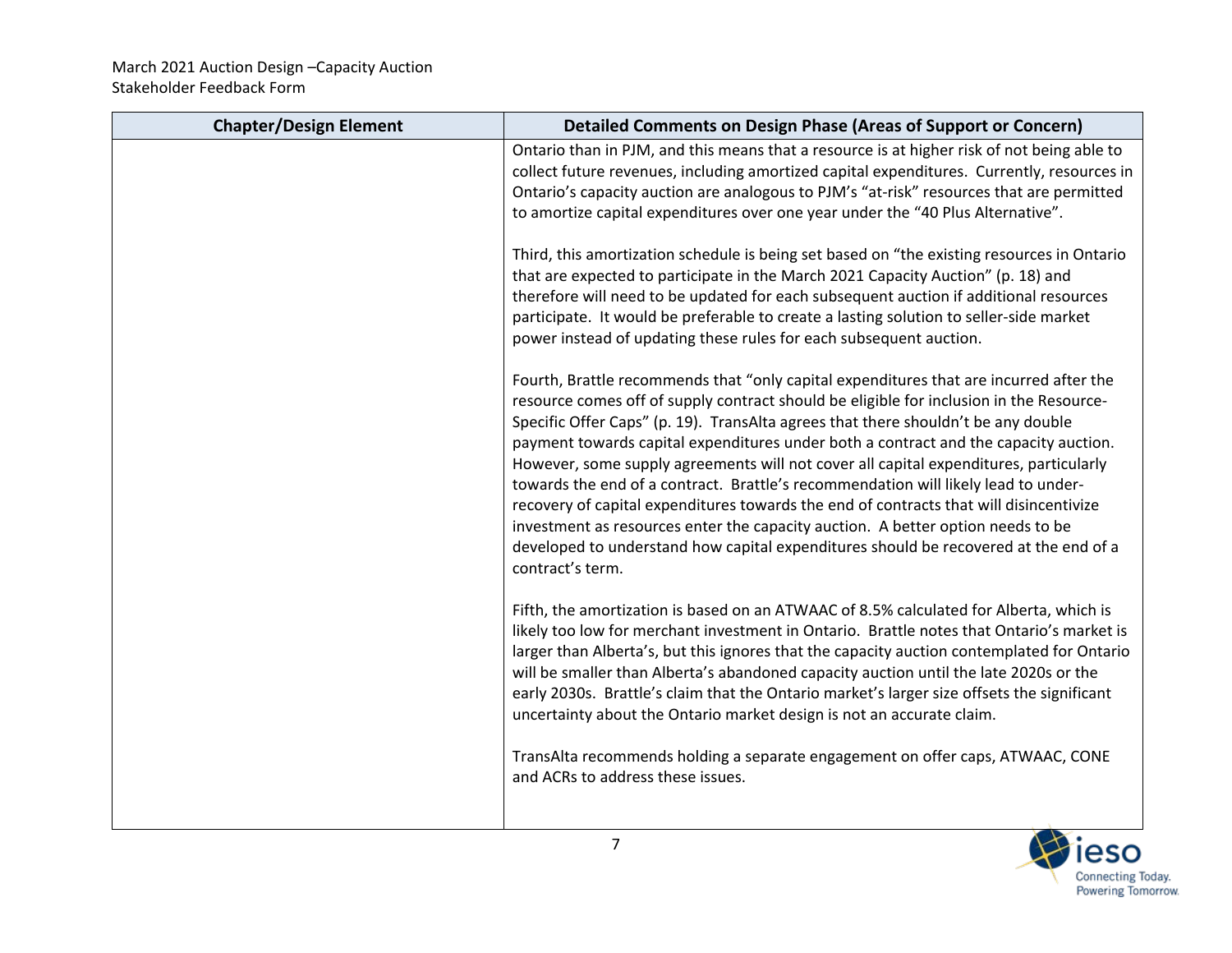| <b>Chapter/Design Element</b> | Detailed Comments on Design Phase (Areas of Support or Concern)                                                                                                                                                                                                                                                                                                                                                                                                                                                                                                                                                                                                                                                                                                                                                                        |
|-------------------------------|----------------------------------------------------------------------------------------------------------------------------------------------------------------------------------------------------------------------------------------------------------------------------------------------------------------------------------------------------------------------------------------------------------------------------------------------------------------------------------------------------------------------------------------------------------------------------------------------------------------------------------------------------------------------------------------------------------------------------------------------------------------------------------------------------------------------------------------|
|                               | Ontario than in PJM, and this means that a resource is at higher risk of not being able to<br>collect future revenues, including amortized capital expenditures. Currently, resources in<br>Ontario's capacity auction are analogous to PJM's "at-risk" resources that are permitted<br>to amortize capital expenditures over one year under the "40 Plus Alternative".                                                                                                                                                                                                                                                                                                                                                                                                                                                                |
|                               | Third, this amortization schedule is being set based on "the existing resources in Ontario<br>that are expected to participate in the March 2021 Capacity Auction" (p. 18) and<br>therefore will need to be updated for each subsequent auction if additional resources<br>participate. It would be preferable to create a lasting solution to seller-side market<br>power instead of updating these rules for each subsequent auction.                                                                                                                                                                                                                                                                                                                                                                                                |
|                               | Fourth, Brattle recommends that "only capital expenditures that are incurred after the<br>resource comes off of supply contract should be eligible for inclusion in the Resource-<br>Specific Offer Caps" (p. 19). TransAlta agrees that there shouldn't be any double<br>payment towards capital expenditures under both a contract and the capacity auction.<br>However, some supply agreements will not cover all capital expenditures, particularly<br>towards the end of a contract. Brattle's recommendation will likely lead to under-<br>recovery of capital expenditures towards the end of contracts that will disincentivize<br>investment as resources enter the capacity auction. A better option needs to be<br>developed to understand how capital expenditures should be recovered at the end of a<br>contract's term. |
|                               | Fifth, the amortization is based on an ATWAAC of 8.5% calculated for Alberta, which is<br>likely too low for merchant investment in Ontario. Brattle notes that Ontario's market is<br>larger than Alberta's, but this ignores that the capacity auction contemplated for Ontario<br>will be smaller than Alberta's abandoned capacity auction until the late 2020s or the<br>early 2030s. Brattle's claim that the Ontario market's larger size offsets the significant<br>uncertainty about the Ontario market design is not an accurate claim.                                                                                                                                                                                                                                                                                      |
|                               | TransAlta recommends holding a separate engagement on offer caps, ATWAAC, CONE<br>and ACRs to address these issues.                                                                                                                                                                                                                                                                                                                                                                                                                                                                                                                                                                                                                                                                                                                    |

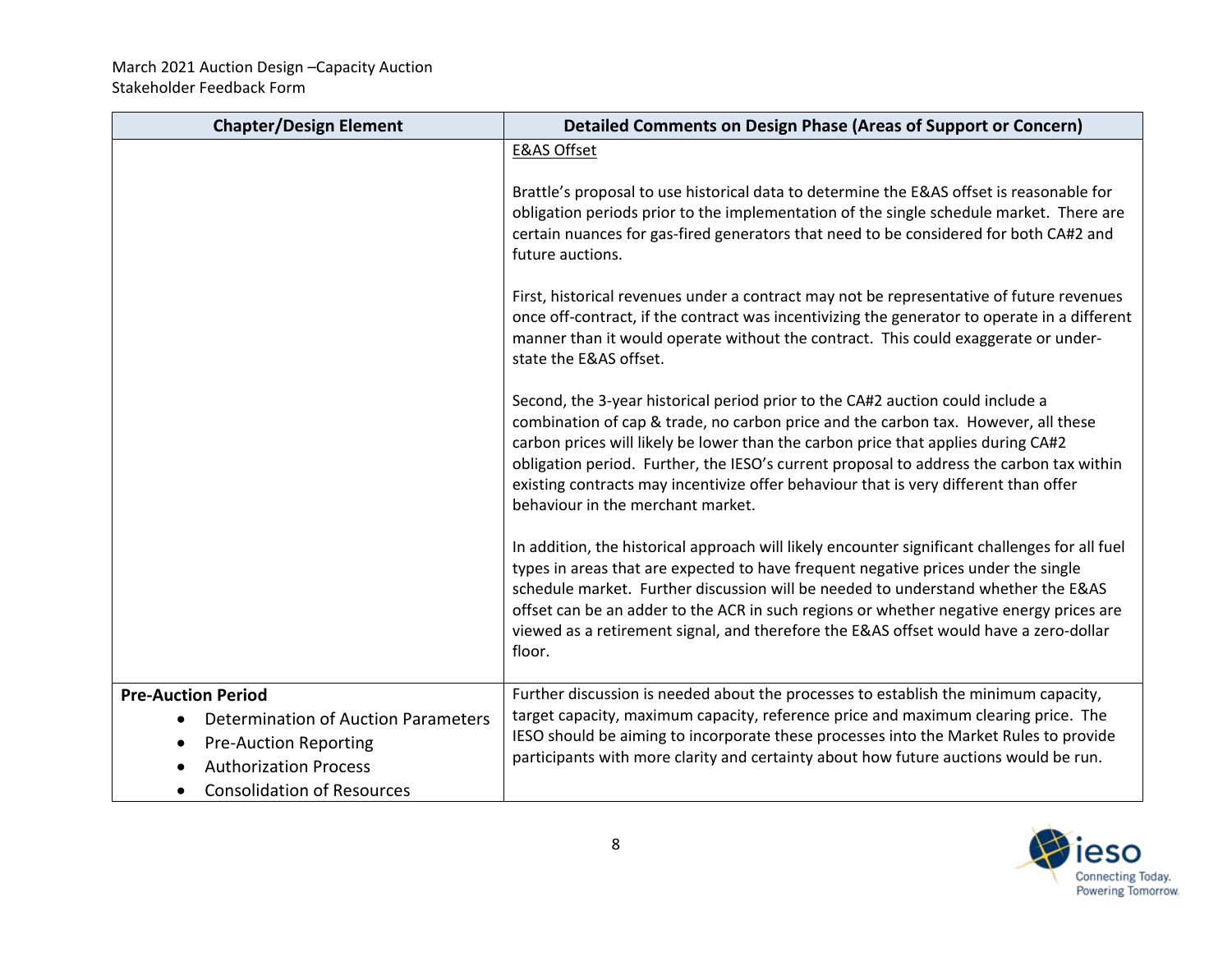| <b>Chapter/Design Element</b>                                                                                                                                                | <b>Detailed Comments on Design Phase (Areas of Support or Concern)</b>                                                                                                                                                                                                                                                                                                                                                                                                             |
|------------------------------------------------------------------------------------------------------------------------------------------------------------------------------|------------------------------------------------------------------------------------------------------------------------------------------------------------------------------------------------------------------------------------------------------------------------------------------------------------------------------------------------------------------------------------------------------------------------------------------------------------------------------------|
|                                                                                                                                                                              | <b>E&amp;AS Offset</b>                                                                                                                                                                                                                                                                                                                                                                                                                                                             |
|                                                                                                                                                                              | Brattle's proposal to use historical data to determine the E&AS offset is reasonable for<br>obligation periods prior to the implementation of the single schedule market. There are<br>certain nuances for gas-fired generators that need to be considered for both CA#2 and<br>future auctions.                                                                                                                                                                                   |
|                                                                                                                                                                              | First, historical revenues under a contract may not be representative of future revenues<br>once off-contract, if the contract was incentivizing the generator to operate in a different<br>manner than it would operate without the contract. This could exaggerate or under-<br>state the E&AS offset.                                                                                                                                                                           |
|                                                                                                                                                                              | Second, the 3-year historical period prior to the CA#2 auction could include a<br>combination of cap & trade, no carbon price and the carbon tax. However, all these<br>carbon prices will likely be lower than the carbon price that applies during CA#2<br>obligation period. Further, the IESO's current proposal to address the carbon tax within<br>existing contracts may incentivize offer behaviour that is very different than offer<br>behaviour in the merchant market. |
|                                                                                                                                                                              | In addition, the historical approach will likely encounter significant challenges for all fuel<br>types in areas that are expected to have frequent negative prices under the single<br>schedule market. Further discussion will be needed to understand whether the E&AS<br>offset can be an adder to the ACR in such regions or whether negative energy prices are<br>viewed as a retirement signal, and therefore the E&AS offset would have a zero-dollar<br>floor.            |
| <b>Pre-Auction Period</b><br><b>Determination of Auction Parameters</b><br><b>Pre-Auction Reporting</b><br><b>Authorization Process</b><br><b>Consolidation of Resources</b> | Further discussion is needed about the processes to establish the minimum capacity,<br>target capacity, maximum capacity, reference price and maximum clearing price. The<br>IESO should be aiming to incorporate these processes into the Market Rules to provide<br>participants with more clarity and certainty about how future auctions would be run.                                                                                                                         |

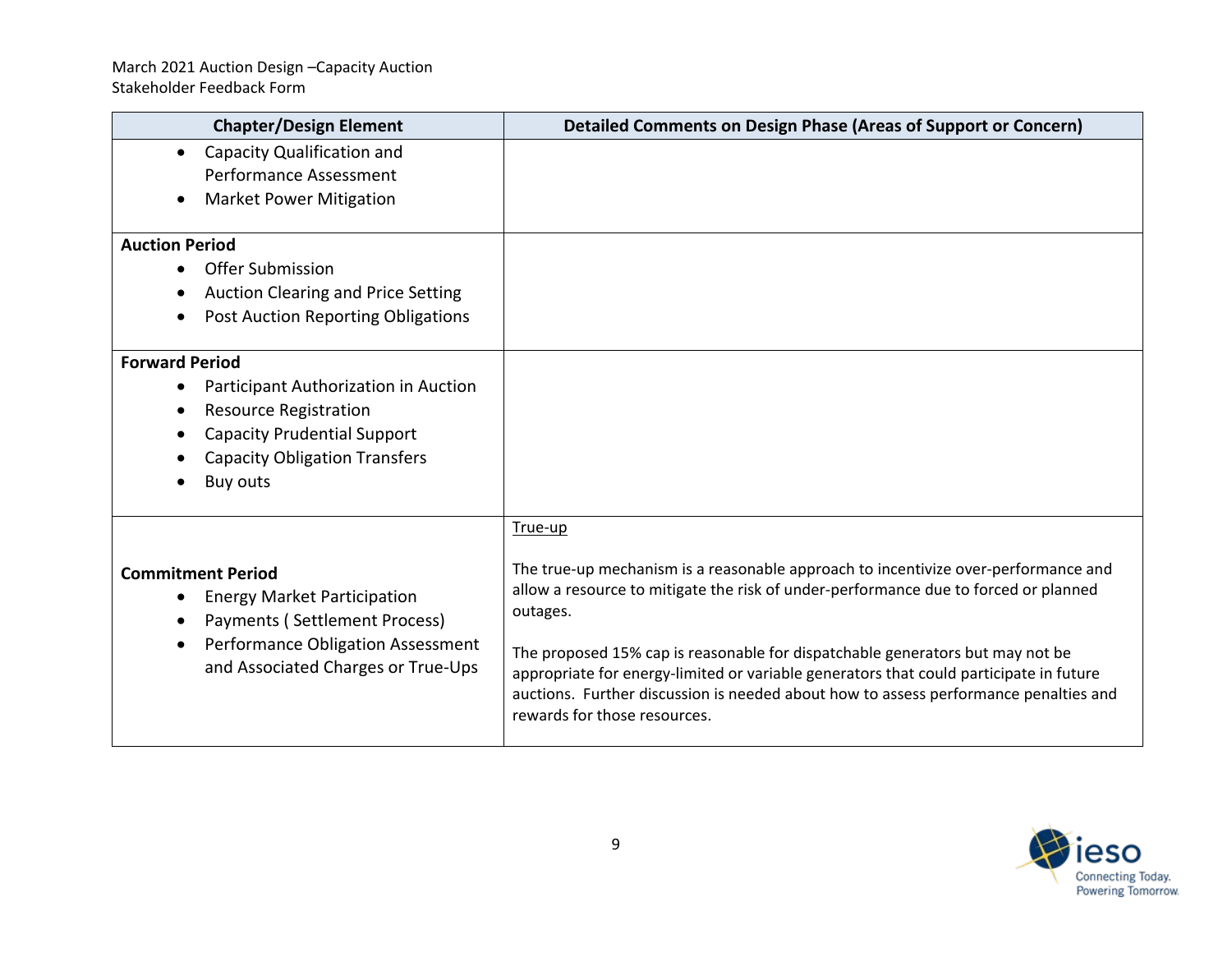| <b>Chapter/Design Element</b>                                                                                                                                                           | <b>Detailed Comments on Design Phase (Areas of Support or Concern)</b>                                                                                                                                                                                                                                                                                                                                                                                                                              |
|-----------------------------------------------------------------------------------------------------------------------------------------------------------------------------------------|-----------------------------------------------------------------------------------------------------------------------------------------------------------------------------------------------------------------------------------------------------------------------------------------------------------------------------------------------------------------------------------------------------------------------------------------------------------------------------------------------------|
| <b>Capacity Qualification and</b><br>$\bullet$<br><b>Performance Assessment</b><br><b>Market Power Mitigation</b>                                                                       |                                                                                                                                                                                                                                                                                                                                                                                                                                                                                                     |
| <b>Auction Period</b><br><b>Offer Submission</b><br>$\bullet$<br>Auction Clearing and Price Setting<br>Post Auction Reporting Obligations                                               |                                                                                                                                                                                                                                                                                                                                                                                                                                                                                                     |
| <b>Forward Period</b><br>Participant Authorization in Auction<br><b>Resource Registration</b><br><b>Capacity Prudential Support</b><br><b>Capacity Obligation Transfers</b><br>Buy outs |                                                                                                                                                                                                                                                                                                                                                                                                                                                                                                     |
| <b>Commitment Period</b><br><b>Energy Market Participation</b><br>Payments (Settlement Process)<br>Performance Obligation Assessment<br>and Associated Charges or True-Ups              | True-up<br>The true-up mechanism is a reasonable approach to incentivize over-performance and<br>allow a resource to mitigate the risk of under-performance due to forced or planned<br>outages.<br>The proposed 15% cap is reasonable for dispatchable generators but may not be<br>appropriate for energy-limited or variable generators that could participate in future<br>auctions. Further discussion is needed about how to assess performance penalties and<br>rewards for those resources. |